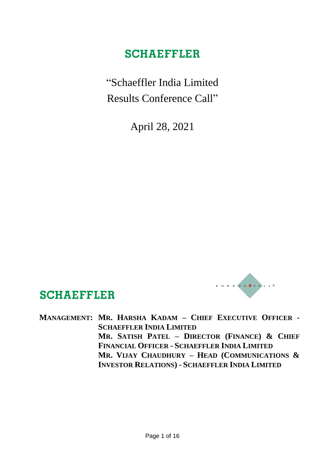"Schaeffler India Limited Results Conference Call"

April 28, 2021



#### **MANAGEMENT: MR. HARSHA KADAM – CHIEF EXECUTIVE OFFICER - SCHAEFFLER INDIA LIMITED MR. SATISH PATEL – DIRECTOR (FINANCE) & CHIEF FINANCIAL OFFICER - SCHAEFFLER INDIA LIMITED MR. VIJAY CHAUDHURY – HEAD (COMMUNICATIONS &**

**SCHAEFFLER** 

**INVESTOR RELATIONS) - SCHAEFFLER INDIA LIMITED**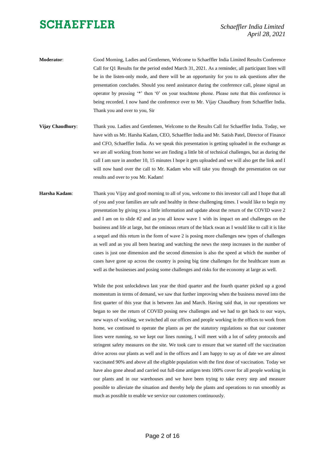*Schaeffler India Limited April 28, 2021*

- **Moderator**: Good Morning, Ladies and Gentlemen, Welcome to Schaeffler India Limited Results Conference Call for Q1 Results for the period ended March 31, 2021. As a reminder, all participant lines will be in the listen-only mode, and there will be an opportunity for you to ask questions after the presentation concludes. Should you need assistance during the conference call, please signal an operator by pressing '\*' then '0' on your touchtone phone. Please note that this conference is being recorded. I now hand the conference over to Mr. Vijay Chaudhury from Schaeffler India. Thank you and over to you, Sir
- **Vijay Chaudhury**: Thank you. Ladies and Gentlemen, Welcome to the Results Call for Schaeffler India. Today, we have with us Mr. Harsha Kadam, CEO, Schaeffler India and Mr. Satish Patel, Director of Finance and CFO, Schaeffler India. As we speak this presentation is getting uploaded in the exchange as we are all working from home we are finding a little bit of technical challenges, but as during the call I am sure in another 10, 15 minutes I hope it gets uploaded and we will also get the link and I will now hand over the call to Mr. Kadam who will take you through the presentation on our results and over to you Mr. Kadam!
- **Harsha Kadam**: Thank you Vijay and good morning to all of you, welcome to this investor call and I hope that all of you and your families are safe and healthy in these challenging times. I would like to begin my presentation by giving you a little information and update about the return of the COVID wave 2 and I am on to slide #2 and as you all know wave 1 with its impact on and challenges on the business and life at large, but the ominous return of the black swan as I would like to call it is like a sequel and this return in the form of wave 2 is posing more challenges new types of challenges as well and as you all been hearing and watching the news the steep increases in the number of cases is just one dimension and the second dimension is also the speed at which the number of cases have gone up across the country is posing big time challenges for the healthcare team as well as the businesses and posing some challenges and risks for the economy at large as well.

While the post unlockdown last year the third quarter and the fourth quarter picked up a good momentum in terms of demand, we saw that further improving when the business moved into the first quarter of this year that is between Jan and March. Having said that, in our operations we began to see the return of COVID posing new challenges and we had to get back to our ways, new ways of working, we switched all our offices and people working in the offices to work from home, we continued to operate the plants as per the statutory regulations so that our customer lines were running, so we kept our lines running, I will meet with a lot of safety protocols and stringent safety measures on the site. We took care to ensure that we started off the vaccination drive across our plants as well and in the offices and I am happy to say as of date we are almost vaccinated 90% and above all the eligible population with the first dose of vaccination. Today we have also gone ahead and carried out full-time antigen tests 100% cover for all people working in our plants and in our warehouses and we have been trying to take every step and measure possible to alleviate the situation and thereby help the plants and operations to run smoothly as much as possible to enable we service our customers continuously.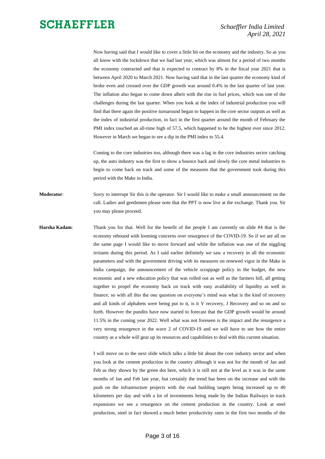Now having said that I would like to cover a little bit on the economy and the industry. So as you all know with the lockdown that we had last year, which was almost for a period of two months the economy contracted and that is expected to contract by 8% in the fiscal year 2021 that is between April 2020 to March 2021. Now having said that in the last quarter the economy kind of broke even and crossed over the GDP growth was around 0.4% in the last quarter of last year. The inflation also began to come down albeit with the rise in fuel prices, which was one of the challenges during the last quarter. When you look at the index of industrial production you will find that there again the positive turnaround began to happen in the core sector outputs as well as the index of industrial production, in fact in the first quarter around the month of February the PMI index touched an all-time high of 57.5, which happened to be the highest ever since 2012. However in March we began to see a dip in the PMI index to 55.4.

Coming to the core industries too, although there was a lag in the core industries sector catching up, the auto industry was the first to show a bounce back and slowly the core metal industries to begin to come back on track and some of the measures that the government took during this period with the Make in India.

- **Moderator**: Sorry to interrupt Sir this is the operator. Sir I would like to make a small announcement on the call. Ladies and gentlemen please note that the PPT is now live at the exchange. Thank you. Sir you may please proceed.
- **Harsha Kadam**: Thank you for that. Well for the benefit of the people I am currently on slide #4 that is the economy rebound with looming concerns over resurgence of the COVID-19. So if we are all on the same page I would like to move forward and while the inflation was one of the niggling irritants during this period. As I said earlier definitely we saw a recovery in all the economic parameters and with the government driving with its measures on renewed vigor in the Make in India campaign, the announcement of the vehicle scrappage policy in the budget, the new economic and a new education policy that was rolled out as well as the farmers bill, all getting together to propel the economy back on track with easy availability of liquidity as well in finance, so with all this the one question on everyone's mind was what is the kind of recovery and all kinds of alphabets were being put to it, is it V recovery, J Recovery and so on and so forth. However the pundits have now started to forecast that the GDP growth would be around 11.5% in the coming year 2022. Well what was not foreseen is the impact and the resurgence a very strong resurgence in the wave 2 of COVID-19 and we will have to see how the entire country as a whole will gear up its resources and capabilities to deal with this current situation.

I will move on to the next slide which talks a little bit about the core industry sector and when you look at the cement production in the country although it was not for the month of Jan and Feb as they shown by the green dot here, which it is still not at the level as it was in the same months of Jan and Feb last year, but certainly the trend has been on the increase and with the push on the infrastructure projects with the road building targets being increased up to 40 kilometers per day and with a lot of investments being made by the Indian Railways in track expansions we see a resurgence on the cement production in the country. Look at steel production, steel in fact showed a much better productivity rates in the first two months of the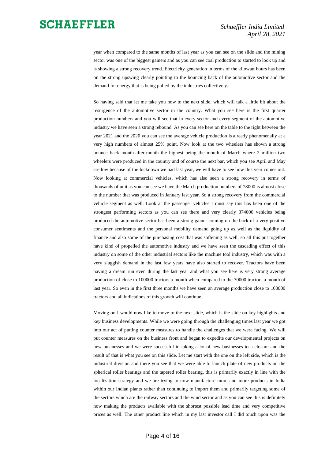year when compared to the same months of last year as you can see on the slide and the mining sector was one of the biggest gainers and as you can see coal production to started to look up and is showing a strong recovery trend. Electricity generation in terms of the kilowatt hours has been on the strong upswing clearly pointing to the bouncing back of the automotive sector and the demand for energy that is being pulled by the industries collectively.

So having said that let me take you now to the next slide, which will talk a little bit about the resurgence of the automotive sector in the country. What you see here is the first quarter production numbers and you will see that in every sector and every segment of the automotive industry we have seen a strong rebound. As you can see here on the table to the right between the year 2021 and the 2020 you can see the average vehicle production is already phenomenally at a very high numbers of almost 25% point. Now look at the two wheelers has shown a strong bounce back month-after-month the highest being the month of March where 2 million two wheelers were produced in the country and of course the next bar, which you see April and May are low because of the lockdown we had last year, we will have to see how this year comes out. Now looking at commercial vehicles, which has also seen a strong recovery in terms of thousands of unit as you can see we have the March production numbers of 78000 is almost close to the number that was produced in January last year. So a strong recovery from the commercial vehicle segment as well. Look at the passenger vehicles I must say this has been one of the strongest performing sectors as you can see there and very clearly 374000 vehicles being produced the automotive sector has been a strong gainer coming on the back of a very positive consumer sentiments and the personal mobility demand going up as well as the liquidity of finance and also some of the purchasing cost that was softening as well, so all this put together have kind of propelled the automotive industry and we have seen the cascading effect of this industry on some of the other industrial sectors like the machine tool industry, which was with a very sluggish demand in the last few years have also started to recover. Tractors have been having a dream run even during the last year and what you see here is very strong average production of close to 100000 tractors a month when compared to the 70000 tractors a month of last year. So even in the first three months we have seen an average production close to 100000 tractors and all indications of this growth will continue.

Moving on I would now like to move to the next slide, which is the slide on key highlights and key business developments. While we were going through the challenging times last year we got into our act of putting counter measures to handle the challenges that we were facing. We will put counter measures on the business front and began to expedite our developmental projects on new businesses and we were successful in taking a lot of new businesses to a closure and the result of that is what you see on this slide. Let me start with the one on the left side, which is the industrial division and there you see that we were able to launch plate of new products on the spherical roller bearings and the tapered roller bearing, this is primarily exactly in line with the localization strategy and we are trying to now manufacture more and more products in India within our Indian plants rather than continuing to import them and primarily targeting some of the sectors which are the railway sectors and the wind sector and as you can see this is definitely now making the products available with the shortest possible lead time and very competitive prices as well. The other product line which in my last investor call I did touch upon was the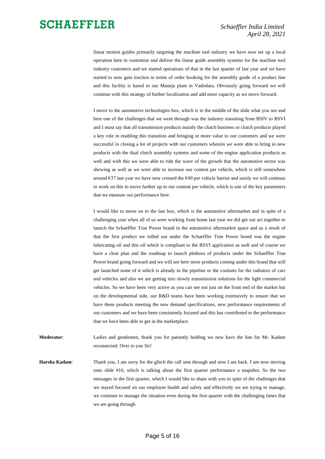linear motion guides primarily targeting the machine tool industry we have now set up a local operation here to customize and deliver the linear guide assembly systems for the machine tool industry customers and we started operations of that in the last quarter of last year and we have started to now gain traction in terms of order booking for the assembly guide of a product line and this facility is based in our Maneja plant in Vadodara. Obviously going forward we will continue with this strategy of further localization and add more capacity as we move forward.

I move to the automotive technologies box, which is in the middle of the slide what you see and here one of the challenges that we went through was the industry transiting from BSIV to BSVI and I must say that all transmission products mainly the clutch business or clutch products played a key role in enabling this transition and bringing in more value to our customers and we were successful in closing a lot of projects with our customers wherein we were able to bring in new products with the dual clutch assembly systems and some of the engine application products as well and with this we were able to ride the wave of the growth that the automotive sector was showing as well as we were able to increase our content per vehicle, which is still somewhere around  $\epsilon$ 37 last year we have now crossed the  $\epsilon$ 40 per vehicle barrier and surely we will continue to work on this to move further up in our content per vehicle, which is one of the key parameters that we measure our performance here.

I would like to move on to the last box, which is the automotive aftermarket and in spite of a challenging year when all of us were working from home last year we did get our act together to launch the Schaeffler True Power brand in the automotive aftermarket space and as a result of that the first product we rolled out under the Schaeffler True Power brand was the engine lubricating oil and this oil which is compliant to the BSVI application as well and of course we have a clear plan and the roadmap to launch plethora of products under the Schaeffler True Power brand going forward and we will see here more products coming under this brand that will get launched some of it which is already in the pipeline or the coolants for the radiators of cars and vehicles and also we are getting into slowly transmission solutions for the light commercial vehicles. So we have been very active as you can see not just on the front end of the market but on the developmental side, our R&D teams have been working extensively to ensure that we have these products meeting the new demand specifications, new performance requirements of our customers and we have been consistently focused and this has contributed to the performance that we have been able to get in the marketplace.

**Moderator**: Ladies and gentlemen, thank you for patiently holding we now have the line for Mr. Kadam reconnected. Over to you Sir!

**Harsha Kadam**: Thank you, I am sorry for the glitch the call sent through and now I am back. I am now moving onto slide #10, which is talking about the first quarter performance a snapshot. So the two messages in the first quarter, which I would like to share with you in spite of the challenges that we stayed focused on our employee health and safety and effectively we are trying to manage, we continue to manage the situation even during the first quarter with the challenging times that we are going through.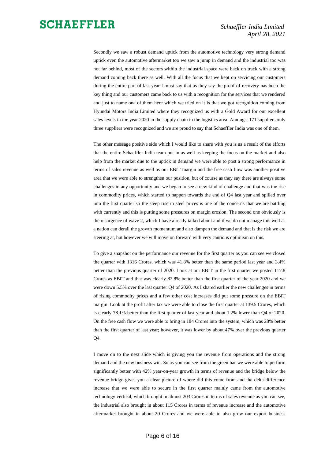Secondly we saw a robust demand uptick from the automotive technology very strong demand uptick even the automotive aftermarket too we saw a jump in demand and the industrial too was not far behind, most of the sectors within the industrial space were back on track with a strong demand coming back there as well. With all the focus that we kept on servicing our customers during the entire part of last year I must say that as they say the proof of recovery has been the key thing and our customers came back to us with a recognition for the services that we rendered and just to name one of them here which we tried on it is that we got recognition coming from Hyundai Motors India Limited where they recognized us with a Gold Award for our excellent sales levels in the year 2020 in the supply chain in the logistics area. Amongst 171 suppliers only three suppliers were recognized and we are proud to say that Schaeffler India was one of them.

The other message positive side which I would like to share with you is as a result of the efforts that the entire Schaeffler India team put in as well as keeping the focus on the market and also help from the market due to the uptick in demand we were able to post a strong performance in terms of sales revenue as well as our EBIT margin and the free cash flow was another positive area that we were able to strengthen our position, but of course as they say there are always some challenges in any opportunity and we began to see a new kind of challenge and that was the rise in commodity prices, which started to happen towards the end of Q4 last year and spilled over into the first quarter so the steep rise in steel prices is one of the concerns that we are battling with currently and this is putting some pressures on margin erosion. The second one obviously is the resurgence of wave 2, which I have already talked about and if we do not manage this well as a nation can derail the growth momentum and also dampen the demand and that is the risk we are steering at, but however we will move on forward with very cautious optimism on this.

To give a snapshot on the performance our revenue for the first quarter as you can see we closed the quarter with 1316 Crores, which was 41.8% better than the same period last year and 3.4% better than the previous quarter of 2020. Look at our EBIT in the first quarter we posted 117.8 Crores as EBIT and that was clearly 82.8% better than the first quarter of the year 2020 and we were down 5.5% over the last quarter Q4 of 2020. As I shared earlier the new challenges in terms of rising commodity prices and a few other cost increases did put some pressure on the EBIT margin. Look at the profit after tax we were able to close the first quarter at 139.5 Crores, which is clearly 78.1% better than the first quarter of last year and about 1.2% lower than Q4 of 2020. On the free cash flow we were able to bring in 184 Crores into the system, which was 28% better than the first quarter of last year; however, it was lower by about 47% over the previous quarter Q4.

I move on to the next slide which is giving you the revenue from operations and the strong demand and the new business win. So as you can see from the green bar we were able to perform significantly better with 42% year-on-year growth in terms of revenue and the bridge below the revenue bridge gives you a clear picture of where did this come from and the delta difference increase that we were able to secure in the first quarter mainly came from the automotive technology vertical, which brought in almost 203 Crores in terms of sales revenue as you can see, the industrial also brought in about 115 Crores in terms of revenue increase and the automotive aftermarket brought in about 20 Crores and we were able to also grow our export business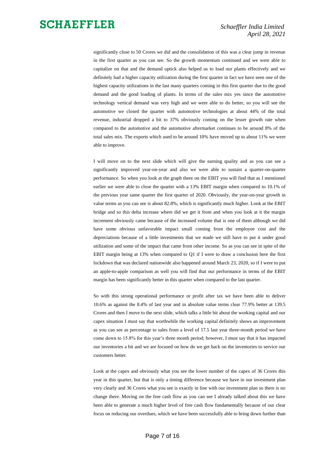significantly close to 50 Crores we did and the consolidation of this was a clear jump in revenue in the first quarter as you can see. So the growth momentum continued and we were able to capitalize on that and the demand uptick also helped us to load our plants effectively and we definitely had a higher capacity utilization during the first quarter in fact we have seen one of the highest capacity utilizations in the last many quarters coming in this first quarter due to the good demand and the good loading of plants. In terms of the sales mix yes since the automotive technology vertical demand was very high and we were able to do better, so you will see the automotive we closed the quarter with automotive technologies at about 44% of the total revenue, industrial dropped a bit to 37% obviously coming on the lesser growth rate when compared to the automotive and the automotive aftermarket continues to be around 8% of the total sales mix. The exports which used to be around 10% have moved up to about 11% we were able to improve.

I will move on to the next slide which will give the earning quality and as you can see a significantly improved year-on-year and also we were able to sustain a quarter-on-quarter performance. So when you look at the graph there on the EBIT you will find that as I mentioned earlier we were able to close the quarter with a 13% EBIT margin when compared to 10.1% of the previous year same quarter the first quarter of 2020. Obviously, the year-on-year growth in value terms as you can see is about 82.8%, which is significantly much higher. Look at the EBIT bridge and so this delta increase where did we get it from and when you look at it the margin increment obviously came because of the increased volume that is one of them although we did have some obvious unfavorable impact small coming from the employee cost and the depreciations because of a little investments that we made we still have to put it under good utilization and some of the impact that came from other income. So as you can see in spite of the EBIT margin being at 13% when compared to Q1 if I were to draw a conclusion here the first lockdown that was declared nationwide also happened around March 23, 2020, so if I were to put an apple-to-apple comparison as well you will find that our performance in terms of the EBIT margin has been significantly better in this quarter when compared to the last quarter.

So with this strong operational performance or profit after tax we have been able to deliver 10.6% as against the 8.4% of last year and in absolute value terms clear 77.9% better at 139.5 Crores and then I move to the next slide, which talks a little bit about the working capital and our capex situation I must say that worthwhile the working capital definitely shows an improvement as you can see as percentage to sales from a level of 17.5 last year three-month period we have come down to 15.8% for this year's three month period; however, I must say that it has impacted our inventories a bit and we are focused on how do we get back on the inventories to service our customers better.

Look at the capex and obviously what you see the lower number of the capex of 36 Crores this year in this quarter, but that is only a timing difference because we have in our investment plan very clearly and 36 Crores what you see is exactly in line with our investment plan so there is no change there. Moving on the free cash flow as you can see I already talked about this we have been able to generate a much higher level of free cash flow fundamentally because of our clear focus on reducing our overdues, which we have been successfully able to bring down further than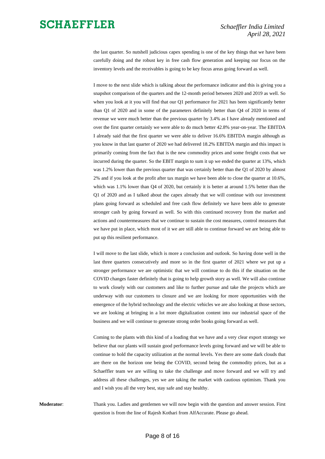the last quarter. So nutshell judicious capex spending is one of the key things that we have been carefully doing and the robust key in free cash flow generation and keeping our focus on the inventory levels and the receivables is going to be key focus areas going forward as well.

I move to the next slide which is talking about the performance indicator and this is giving you a snapshot comparison of the quarters and the 12-month period between 2020 and 2019 as well. So when you look at it you will find that our Q1 performance for 2021 has been significantly better than Q1 of 2020 and in some of the parameters definitely better than Q4 of 2020 in terms of revenue we were much better than the previous quarter by 3.4% as I have already mentioned and over the first quarter certainly we were able to do much better 42.8% year-on-year. The EBITDA I already said that the first quarter we were able to deliver 16.6% EBITDA margin although as you know in that last quarter of 2020 we had delivered 18.2% EBITDA margin and this impact is primarily coming from the fact that is the new commodity prices and some freight costs that we incurred during the quarter. So the EBIT margin to sum it up we ended the quarter at 13%, which was 1.2% lower than the previous quarter that was certainly better than the Q1 of 2020 by almost 2% and if you look at the profit after tax margin we have been able to close the quarter at 10.6%, which was 1.1% lower than Q4 of 2020, but certainly it is better at around 1.5% better than the Q1 of 2020 and as I talked about the capex already that we will continue with our investment plans going forward as scheduled and free cash flow definitely we have been able to generate stronger cash by going forward as well. So with this continued recovery from the market and actions and countermeasures that we continue to sustain the cost measures, control measures that we have put in place, which most of it we are still able to continue forward we are being able to put up this resilient performance.

I will move to the last slide, which is more a conclusion and outlook. So having done well in the last three quarters consecutively and more so in the first quarter of 2021 where we put up a stronger performance we are optimistic that we will continue to do this if the situation on the COVID changes faster definitely that is going to help growth story as well. We will also continue to work closely with our customers and like to further pursue and take the projects which are underway with our customers to closure and we are looking for more opportunities with the emergence of the hybrid technology and the electric vehicles we are also looking at those sectors, we are looking at bringing in a lot more digitalization content into our industrial space of the business and we will continue to generate strong order books going forward as well.

Coming to the plants with this kind of a loading that we have and a very clear export strategy we believe that our plants will sustain good performance levels going forward and we will be able to continue to hold the capacity utilization at the normal levels. Yes there are some dark clouds that are there on the horizon one being the COVID, second being the commodity prices, but as a Schaeffler team we are willing to take the challenge and move forward and we will try and address all these challenges, yes we are taking the market with cautious optimism. Thank you and I wish you all the very best, stay safe and stay healthy.

**Moderator**: Thank you. Ladies and gentlemen we will now begin with the question and answer session. First question is from the line of Rajesh Kothari from AlfAccurate. Please go ahead.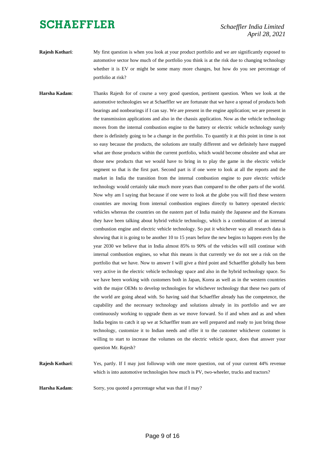*Schaeffler India Limited April 28, 2021*

**Rajesh Kothari:** My first question is when you look at your product portfolio and we are significantly exposed to automotive sector how much of the portfolio you think is at the risk due to changing technology whether it is EV or might be some many more changes, but how do you see percentage of portfolio at risk?

**Harsha Kadam**: Thanks Rajesh for of course a very good question, pertinent question. When we look at the automotive technologies we at Schaeffler we are fortunate that we have a spread of products both bearings and nonbearings if I can say. We are present in the engine application; we are present in the transmission applications and also in the chassis application. Now as the vehicle technology moves from the internal combustion engine to the battery or electric vehicle technology surely there is definitely going to be a change in the portfolio. To quantify it at this point in time is not so easy because the products, the solutions are totally different and we definitely have mapped what are those products within the current portfolio, which would become obsolete and what are those new products that we would have to bring in to play the game in the electric vehicle segment so that is the first part. Second part is if one were to look at all the reports and the market in India the transition from the internal combustion engine to pure electric vehicle technology would certainly take much more years than compared to the other parts of the world. Now why am I saying that because if one were to look at the globe you will find these western countries are moving from internal combustion engines directly to battery operated electric vehicles whereas the countries on the eastern part of India mainly the Japanese and the Koreans they have been talking about hybrid vehicle technology, which is a combination of an internal combustion engine and electric vehicle technology. So put it whichever way all research data is showing that it is going to be another 10 to 15 years before the new begins to happen even by the year 2030 we believe that in India almost 85% to 90% of the vehicles will still continue with internal combustion engines, so what this means is that currently we do not see a risk on the portfolio that we have. Now to answer I will give a third point and Schaeffler globally has been very active in the electric vehicle technology space and also in the hybrid technology space. So we have been working with customers both in Japan, Korea as well as in the western countries with the major OEMs to develop technologies for whichever technology that these two parts of the world are going ahead with. So having said that Schaeffler already has the competence, the capability and the necessary technology and solutions already in its portfolio and we are continuously working to upgrade them as we move forward. So if and when and as and when India begins to catch it up we at Schaeffler team are well prepared and ready to just bring those technology, customize it to Indian needs and offer it to the customer whichever customer is willing to start to increase the volumes on the electric vehicle space, does that answer your question Mr. Rajesh?

which is into automotive technologies how much is PV, two-wheeler, trucks and tractors?

**Rajesh Kothari**: Yes, partly. If I may just followup with one more question, out of your current 44% revenue

**Harsha Kadam:** Sorry, you quoted a percentage what was that if I may?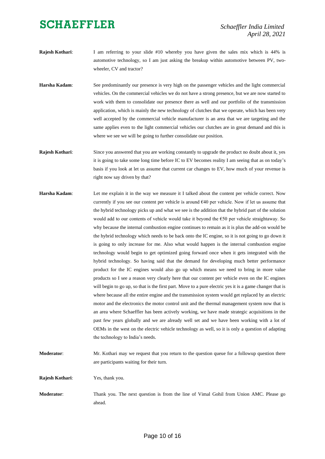- **Rajesh Kothari**: I am referring to your slide #10 whereby you have given the sales mix which is 44% is automotive technology, so I am just asking the breakup within automotive between PV, twowheeler, CV and tractor?
- **Harsha Kadam**: See predominantly our presence is very high on the passenger vehicles and the light commercial vehicles. On the commercial vehicles we do not have a strong presence, but we are now started to work with them to consolidate our presence there as well and our portfolio of the transmission application, which is mainly the new technology of clutches that we operate, which has been very well accepted by the commercial vehicle manufacturer is an area that we are targeting and the same applies even to the light commercial vehicles our clutches are in great demand and this is where we see we will be going to further consolidate our position.
- **Rajesh Kothari**: Since you answered that you are working constantly to upgrade the product no doubt about it, yes it is going to take some long time before IC to EV becomes reality I am seeing that as on today's basis if you look at let us assume that current car changes to EV, how much of your revenue is right now say driven by that?
- **Harsha Kadam**: Let me explain it in the way we measure it I talked about the content per vehicle correct. Now currently if you see our content per vehicle is around  $640$  per vehicle. Now if let us assume that the hybrid technology picks up and what we see is the addition that the hybrid part of the solution would add to our contents of vehicle would take it beyond the €50 per vehicle straightaway. So why because the internal combustion engine continues to remain as it is plus the add-on would be the hybrid technology which needs to be back onto the IC engine, so it is not going to go down it is going to only increase for me. Also what would happen is the internal combustion engine technology would begin to get optimized going forward once when it gets integrated with the hybrid technology. So having said that the demand for developing much better performance product for the IC engines would also go up which means we need to bring in more value products so I see a reason very clearly here that our content per vehicle even on the IC engines will begin to go up, so that is the first part. Move to a pure electric yes it is a game changer that is where because all the entire engine and the transmission system would get replaced by an electric motor and the electronics the motor control unit and the thermal management system now that is an area where Schaeffler has been actively working, we have made strategic acquisitions in the past few years globally and we are already well set and we have been working with a lot of OEMs in the west on the electric vehicle technology as well, so it is only a question of adapting the technology to India's needs.
- **Moderator:** Mr. Kothari may we request that you return to the question queue for a followup question there are participants waiting for their turn.

**Rajesh Kothari**: Yes, thank you.

**Moderator**: Thank you. The next question is from the line of Vimal Gohil from Union AMC. Please go ahead.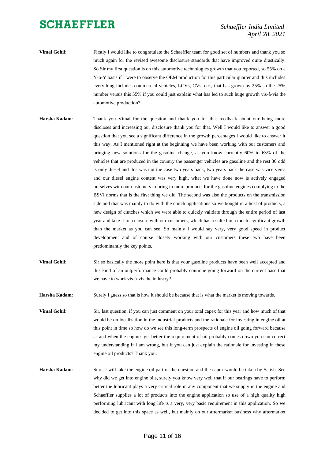- **Vimal Gohil:** Firstly I would like to congratulate the Schaeffler team for good set of numbers and thank you so much again for the revised awesome disclosure standards that have improved quite drastically. So Sir my first question is on this automotive technologies growth that you reported, so 55% on a Y-o-Y basis if I were to observe the OEM production for this particular quarter and this includes everything includes commercial vehicles, LCVs, CVs, etc., that has grown by 25% so the 25% number versus this 55% if you could just explain what has led to such huge growth vis-à-vis the automotive production?
- **Harsha Kadam**: Thank you Vimal for the question and thank you for that feedback about our being more discloses and increasing our disclosure thank you for that. Well I would like to answer a good question that you see a significant difference in the growth percentages I would like to answer it this way. As I mentioned right at the beginning we have been working with our customers and bringing new solutions for the gasoline change, as you know currently 60% to 63% of the vehicles that are produced in the country the passenger vehicles are gasoline and the rest 30 odd is only diesel and this was not the case two years back, two years back the case was vice versa and our diesel engine content was very high, what we have done now is actively engaged ourselves with our customers to bring in more products for the gasoline engines complying to the BSVI norms that is the first thing we did. The second was also the products on the transmission side and that was mainly to do with the clutch applications so we bought in a host of products, a new design of clutches which we were able to quickly validate through the entire period of last year and take it to a closure with our customers, which has resulted in a much significant growth than the market as you can see. So mainly I would say very, very good speed in product development and of course closely working with our customers these two have been predominantly the key points.
- **Vimal Gohil:** Sir so basically the more point here is that your gasoline products have been well accepted and this kind of an outperformance could probably continue going forward on the current base that we have to work vis-à-vis the industry?

**Harsha Kadam:** Surely I guess so that is how it should be because that is what the market is moving towards.

**Vimal Gohil**: Sir, last question, if you can just comment on your total capex for this year and how much of that would be on localization in the industrial products and the rationale for investing in engine oil at this point in time so how do we see this long-term prospects of engine oil going forward because as and when the engines get better the requirement of oil probably comes down you can correct my understanding if I am wrong, but if you can just explain the rationale for investing in these engine oil products? Thank you.

**Harsha Kadam**: Sure, I will take the engine oil part of the question and the capex would be taken by Satish. See why did we get into engine oils, surely you know very well that if our bearings have to perform better the lubricant plays a very critical role in any component that we supply in the engine and Schaeffler supplies a lot of products into the engine application so use of a high quality high performing lubricant with long life is a very, very basic requirement in this application. So we decided to get into this space as well, but mainly on our aftermarket business why aftermarket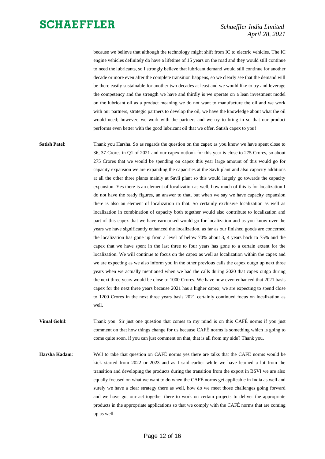because we believe that although the technology might shift from IC to electric vehicles. The IC engine vehicles definitely do have a lifetime of 15 years on the road and they would still continue to need the lubricants, so I strongly believe that lubricant demand would still continue for another decade or more even after the complete transition happens, so we clearly see that the demand will be there easily sustainable for another two decades at least and we would like to try and leverage the competency and the strength we have and thirdly is we operate on a lean investment model on the lubricant oil as a product meaning we do not want to manufacture the oil and we work with our partners, strategic partners to develop the oil, we have the knowledge about what the oil would need; however, we work with the partners and we try to bring in so that our product performs even better with the good lubricant oil that we offer. Satish capex to you!

**Satish Patel:** Thank you Harsha. So as regards the question on the capex as you know we have spent close to 36, 37 Crores in Q1 of 2021 and our capex outlook for this year is close to 275 Crores, so about 275 Crores that we would be spending on capex this year large amount of this would go for capacity expansion we are expanding the capacities at the Savli plant and also capacity additions at all the other three plants mainly at Savli plant so this would largely go towards the capacity expansion. Yes there is an element of localization as well, how much of this is for localization I do not have the ready figures, an answer to that, but when we say we have capacity expansion there is also an element of localization in that. So certainly exclusive localization as well as localization in combination of capacity both together would also contribute to localization and part of this capex that we have earmarked would go for localization and as you know over the years we have significantly enhanced the localization, as far as our finished goods are concerned the localization has gone up from a level of below 70% about 3, 4 years back to 75% and the capex that we have spent in the last three to four years has gone to a certain extent for the localization. We will continue to focus on the capex as well as localization within the capex and we are expecting as we also inform you in the other previous calls the capex outgo up next three years when we actually mentioned when we had the calls during 2020 that capex outgo during the next three years would be close to 1000 Crores. We have now even enhanced that 2021 basis capex for the next three years because 2021 has a higher capex, we are expecting to spend close to 1200 Crores in the next three years basis 2021 certainly continued focus on localization as well.

**Vimal Gohil:** Thank you. Sir just one question that comes to my mind is on this CAFÉ norms if you just comment on that how things change for us because CAFÉ norms is something which is going to come quite soon, if you can just comment on that, that is all from my side? Thank you.

**Harsha Kadam**: Well to take that question on CAFÉ norms yes there are talks that the CAFE norms would be kick started from 2022 or 2023 and as I said earlier while we have learned a lot from the transition and developing the products during the transition from the export in BSVI we are also equally focused on what we want to do when the CAFÉ norms get applicable in India as well and surely we have a clear strategy there as well, how do we meet those challenges going forward and we have got our act together there to work on certain projects to deliver the appropriate products in the appropriate applications so that we comply with the CAFÉ norms that are coming up as well.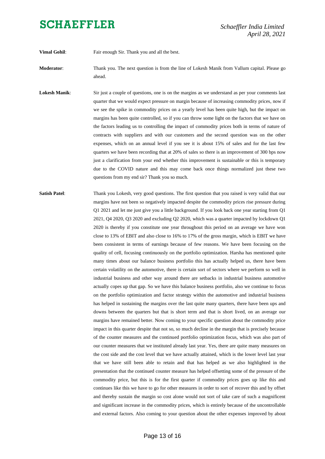**Vimal Gohil:** Fair enough Sir. Thank you and all the best.

**Moderator**: Thank you. The next question is from the line of Lokesh Manik from Vallum capital. Please go ahead.

- **Lokesh Manik**: Sir just a couple of questions, one is on the margins as we understand as per your comments last quarter that we would expect pressure on margin because of increasing commodity prices, now if we see the spike in commodity prices on a yearly level has been quite high, but the impact on margins has been quite controlled, so if you can throw some light on the factors that we have on the factors leading us to controlling the impact of commodity prices both in terms of nature of contracts with suppliers and with our customers and the second question was on the other expenses, which on an annual level if you see it is about 15% of sales and for the last few quarters we have been recording that at 20% of sales so there is an improvement of 300 bps now just a clarification from your end whether this improvement is sustainable or this is temporary due to the COVID nature and this may come back once things normalized just these two questions from my end sir? Thank you so much.
- **Satish Patel**: Thank you Lokesh, very good questions. The first question that you raised is very valid that our margins have not been so negatively impacted despite the commodity prices rise pressure during Q1 2021 and let me just give you a little background. If you look back one year starting from Q1 2021, Q4 2020, Q3 2020 and excluding Q2 2020, which was a quarter impacted by lockdown Q1 2020 is thereby if you constitute one year throughout this period on an average we have won close to 13% of EBIT and also close to 16% to 17% of the gross margin, which is EBIT we have been consistent in terms of earnings because of few reasons. We have been focusing on the quality of cell, focusing continuously on the portfolio optimization. Harsha has mentioned quite many times about our balance business portfolio this has actually helped us, there have been certain volatility on the automotive, there is certain sort of sectors where we perform so well in industrial business and other way around there are setbacks in industrial business automotive actually copes up that gap. So we have this balance business portfolio, also we continue to focus on the portfolio optimization and factor strategy within the automotive and industrial business has helped in sustaining the margins over the last quite many quarters, there have been ups and downs between the quarters but that is short term and that is short lived, on an average our margins have remained better. Now coming to your specific question about the commodity price impact in this quarter despite that not so, so much decline in the margin that is precisely because of the counter measures and the continued portfolio optimization focus, which was also part of our counter measures that we instituted already last year. Yes, there are quite many measures on the cost side and the cost level that we have actually attained, which is the lower level last year that we have still been able to retain and that has helped as we also highlighted in the presentation that the continued counter measure has helped offsetting some of the pressure of the commodity price, but this is for the first quarter if commodity prices goes up like this and continues like this we have to go for other measures in order to sort of recover this and by offset and thereby sustain the margin so cost alone would not sort of take care of such a magnificent and significant increase in the commodity prices, which is entirely because of the uncontrollable and external factors. Also coming to your question about the other expenses improved by about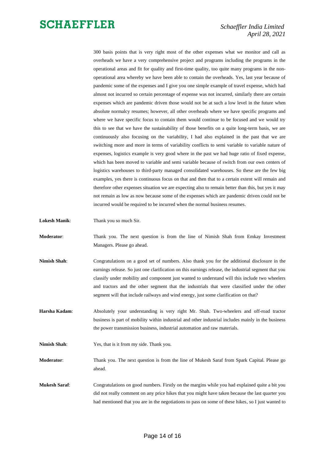300 basis points that is very right most of the other expenses what we monitor and call as overheads we have a very comprehensive project and programs including the programs in the operational areas and fit for quality and first-time quality, too quite many programs in the nonoperational area whereby we have been able to contain the overheads. Yes, last year because of pandemic some of the expenses and I give you one simple example of travel expense, which had almost not incurred so certain percentage of expense was not incurred, similarly there are certain expenses which are pandemic driven those would not be at such a low level in the future when absolute normalcy resumes; however, all other overheads where we have specific programs and where we have specific focus to contain them would continue to be focused and we would try this to see that we have the sustainability of those benefits on a quite long-term basis, we are continuously also focusing on the variability, I had also explained in the past that we are switching more and more in terms of variability conflicts to semi variable to variable nature of expenses, logistics example is very good where in the past we had huge ratio of fixed expense, which has been moved to variable and semi variable because of switch from our own centers of logistics warehouses to third-party managed consolidated warehouses. So these are the few big examples, yes there is continuous focus on that and then that to a certain extent will remain and therefore other expenses situation we are expecting also to remain better than this, but yes it may not remain as low as now because some of the expenses which are pandemic driven could not be incurred would be required to be incurred when the normal business resumes.

**Lokesh Manik**: Thank you so much Sir.

**Moderator**: Thank you. The next question is from the line of Nimish Shah from Emkay Investment Managers. Please go ahead.

- **Nimish Shah**: Congratulations on a good set of numbers. Also thank you for the additional disclosure in the earnings release. So just one clarification on this earnings release, the industrial segment that you classify under mobility and component just wanted to understand will this include two wheelers and tractors and the other segment that the industrials that were classified under the other segment will that include railways and wind energy, just some clarification on that?
- **Harsha Kadam**: Absolutely your understanding is very right Mr. Shah. Two-wheelers and off-road tractor business is part of mobility within industrial and other industrial includes mainly in the business the power transmission business, industrial automation and raw materials.
- **Nimish Shah**: Yes, that is it from my side. Thank you.
- **Moderator**: Thank you. The next question is from the line of Mukesh Saraf from Spark Capital. Please go ahead.
- **Mukesh Saraf**: Congratulations on good numbers. Firstly on the margins while you had explained quite a bit you did not really comment on any price hikes that you might have taken because the last quarter you had mentioned that you are in the negotiations to pass on some of these hikes, so I just wanted to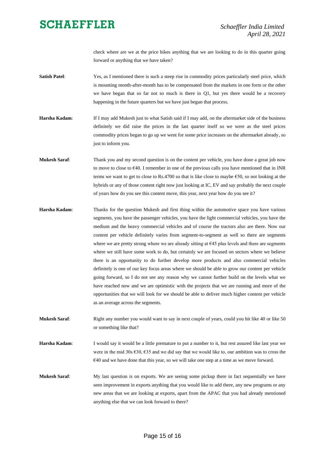check where are we at the price hikes anything that we are looking to do in this quarter going forward or anything that we have taken?

- **Satish Patel:** Yes, as I mentioned there is such a steep rise in commodity prices particularly steel price, which is mounting month-after-month has to be compensated from the markets in one form or the other we have began that so far not so much is there in Q1, but yes there would be a recovery happening in the future quarters but we have just begun that process.
- **Harsha Kadam**: If I may add Mukesh just to what Satish said if I may add, on the aftermarket side of the business definitely we did raise the prices in the last quarter itself so we were as the steel prices commodity prices began to go up we went for some price increases on the aftermarket already, so just to inform you.
- **Mukesh Saraf**: Thank you and my second question is on the content per vehicle, you have done a great job now to move to close to €40. I remember in one of the previous calls you have mentioned that in INR terms we want to get to close to Rs.4700 so that is like close to maybe  $\epsilon$ 50, so not looking at the hybrids or any of those content right now just looking at IC, EV and say probably the next couple of years how do you see this content move, this year, next year how do you see it?
- **Harsha Kadam**: Thanks for the question Mukesh and first thing within the automotive space you have various segments, you have the passenger vehicles, you have the light commercial vehicles, you have the medium and the heavy commercial vehicles and of course the tractors also are there. Now our content per vehicle definitely varies from segment-to-segment as well so there are segments where we are pretty strong where we are already sitting at  $E45$  plus levels and there are segments where we still have some work to do, but certainly we are focused on sectors where we believe there is an opportunity to do further develop more products and also commercial vehicles definitely is one of our key focus areas where we should be able to grow our content per vehicle going forward, so I do not see any reason why we cannot further build on the levels what we have reached now and we are optimistic with the projects that we are running and more of the opportunities that we will look for we should be able to deliver much higher content per vehicle as an average across the segments.
- Mukesh Saraf: Right any number you would want to say in next couple of years, could you hit like 40 or like 50 or something like that?
- **Harsha Kadam**: I would say it would be a little premature to put a number to it, but rest assured like last year we were in the mid 30s €30, €35 and we did say that we would like to, our ambition was to cross the €40 and we have done that this year, so we will take one step at a time as we move forward.
- **Mukesh Saraf:** My last question is on exports. We are seeing some pickup there in fact sequentially we have seen improvement in exports anything that you would like to add there, any new programs or any new areas that we are looking at exports, apart from the APAC that you had already mentioned anything else that we can look forward to there?